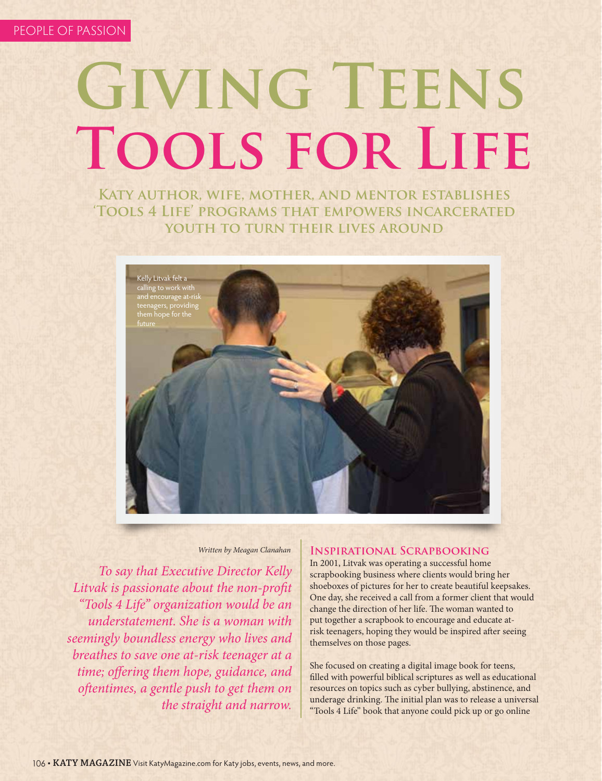# **GIVING TEENS Tools for Life**

**Katy author, wife, mother, and mentor establishes 'Tools 4 Life' programs that empowers incarcerated youth to turn their lives around**



#### *Written by Meagan Clanahan*

*To say that Executive Director Kelly Litvak is passionate about the non-profit "Tools 4 Life" organization would be an understatement. She is a woman with seemingly boundless energy who lives and breathes to save one at-risk teenager at a time; offering them hope, guidance, and oftentimes, a gentle push to get them on the straight and narrow.* 

#### **Inspirational Scrapbooking**

In 2001, Litvak was operating a successful home scrapbooking business where clients would bring her shoeboxes of pictures for her to create beautiful keepsakes. One day, she received a call from a former client that would change the direction of her life. The woman wanted to put together a scrapbook to encourage and educate atrisk teenagers, hoping they would be inspired after seeing themselves on those pages.

She focused on creating a digital image book for teens, filled with powerful biblical scriptures as well as educational resources on topics such as cyber bullying, abstinence, and underage drinking. The initial plan was to release a universal "Tools 4 Life" book that anyone could pick up or go online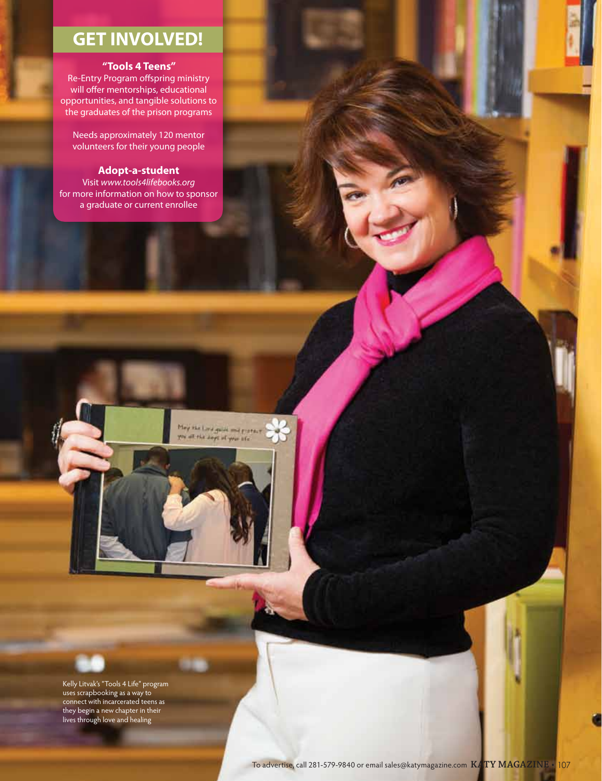## **GET INVOLVED!**

#### **"Tools 4 Teens"**

Re-Entry Program offspring ministry will offer mentorships, educational opportunities, and tangible solutions to the graduates of the prison programs

Needs approximately 120 mentor volunteers for their young people

#### **Adopt-a-student**

Visit *www.tools4lifebooks.org* for more information on how to sponsor a graduate or current enrollee

May kke Lord guide and property<br>you all the days of your life.



Kelly Litvak's "Tools 4 Life" program uses scrapbooking as a way to connect with incarcerated teens as they begin a new chapter in their lives through love and healing